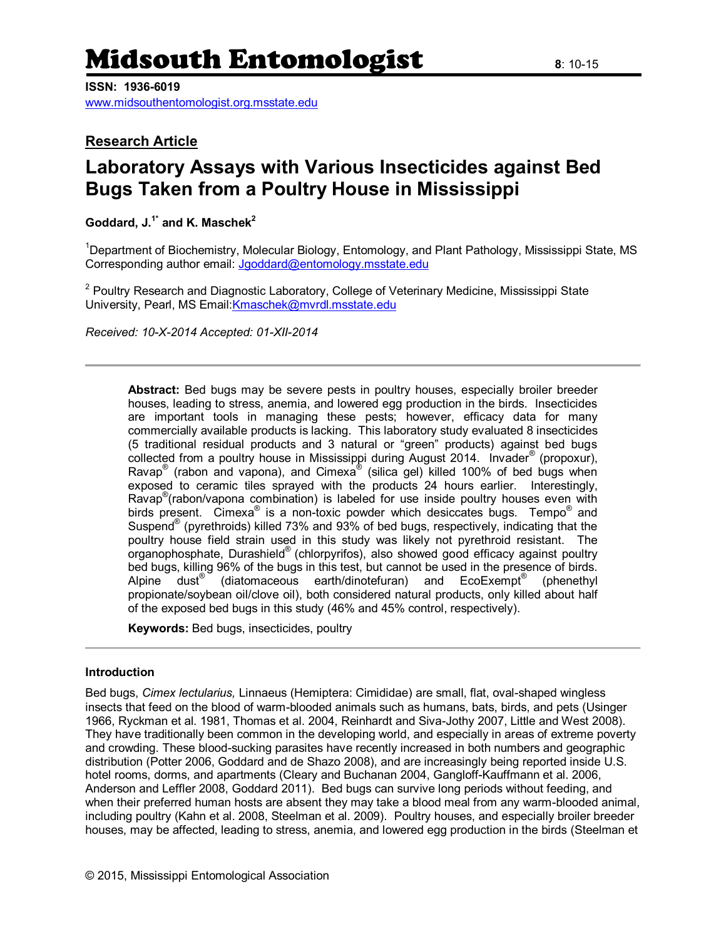# Midsouth Entomologist **<sup>8</sup>**: 10-15

**ISSN: 1936-6019**

[www.midsouthentomologist.org.msstate.edu](http://www.midsouthentomologist.org.msstate.edu/)

### **Research Article**

## **Laboratory Assays with Various Insecticides against Bed Bugs Taken from a Poultry House in Mississippi**

**Goddard, J.1\* and K. Maschek<sup>2</sup>**

<sup>1</sup>Department of Biochemistry, Molecular Biology, Entomology, and Plant Pathology, Mississippi State, MS Corresponding author email: [Jgoddard@entomology.msstate.edu](mailto:Jgoddard@entomology.msstate.edu)

<sup>2</sup> Poultry Research and Diagnostic Laboratory, College of Veterinary Medicine, Mississippi State University, Pearl, MS Email[:Kmaschek@mvrdl.msstate.edu](mailto:Kmaschek@mvrdl.msstate.edu)

*Received: 10-X-2014 Accepted: 01-XII-2014*

**Abstract:** Bed bugs may be severe pests in poultry houses, especially broiler breeder houses, leading to stress, anemia, and lowered egg production in the birds. Insecticides are important tools in managing these pests; however, efficacy data for many commercially available products is lacking. This laboratory study evaluated 8 insecticides (5 traditional residual products and 3 natural or "green" products) against bed bugs collected from a poultry house in Mississippi during August 2014. Invader® (propoxur), Ravap<sup>®</sup> (rabon and vapona), and Cimexa<sup>®</sup> (silica gel) killed 100% of bed bugs when exposed to ceramic tiles sprayed with the products 24 hours earlier. Interestingly, Ravap<sup>®</sup> (rabon/vapona combination) is labeled for use inside poultry houses even with birds present. Cimexa<sup>®</sup> is a non-toxic powder which desiccates bugs. Tempo<sup>®</sup> and Suspend<sup>®</sup> (pyrethroids) killed 73% and 93% of bed bugs, respectively, indicating that the poultry house field strain used in this study was likely not pyrethroid resistant. The .<br>organophosphate, Durashield® (chlorpyrifos), also showed good efficacy against poultry bed bugs, killing 96% of the bugs in this test, but cannot be used in the presence of birds. Alpine dust<sup>®</sup> (diatomaceous earth/dinotefuran) and EcoExempt® (phenethyl propionate/soybean oil/clove oil), both considered natural products, only killed about half of the exposed bed bugs in this study (46% and 45% control, respectively).

**Keywords:** Bed bugs, insecticides, poultry

#### **Introduction**

Bed bugs, *Cimex lectularius,* Linnaeus (Hemiptera: Cimididae) are small, flat, oval-shaped wingless insects that feed on the blood of warm-blooded animals such as humans, bats, birds, and pets (Usinger 1966, Ryckman et al. 1981, Thomas et al. 2004, Reinhardt and Siva-Jothy 2007, Little and West 2008). They have traditionally been common in the developing world, and especially in areas of extreme poverty and crowding. These blood-sucking parasites have recently increased in both numbers and geographic distribution (Potter 2006, Goddard and de Shazo 2008), and are increasingly being reported inside U.S. hotel rooms, dorms, and apartments (Cleary and Buchanan 2004, Gangloff-Kauffmann et al. 2006, Anderson and Leffler 2008, Goddard 2011). Bed bugs can survive long periods without feeding, and when their preferred human hosts are absent they may take a blood meal from any warm-blooded animal, including poultry (Kahn et al. 2008, Steelman et al. 2009). Poultry houses, and especially broiler breeder houses, may be affected, leading to stress, anemia, and lowered egg production in the birds (Steelman et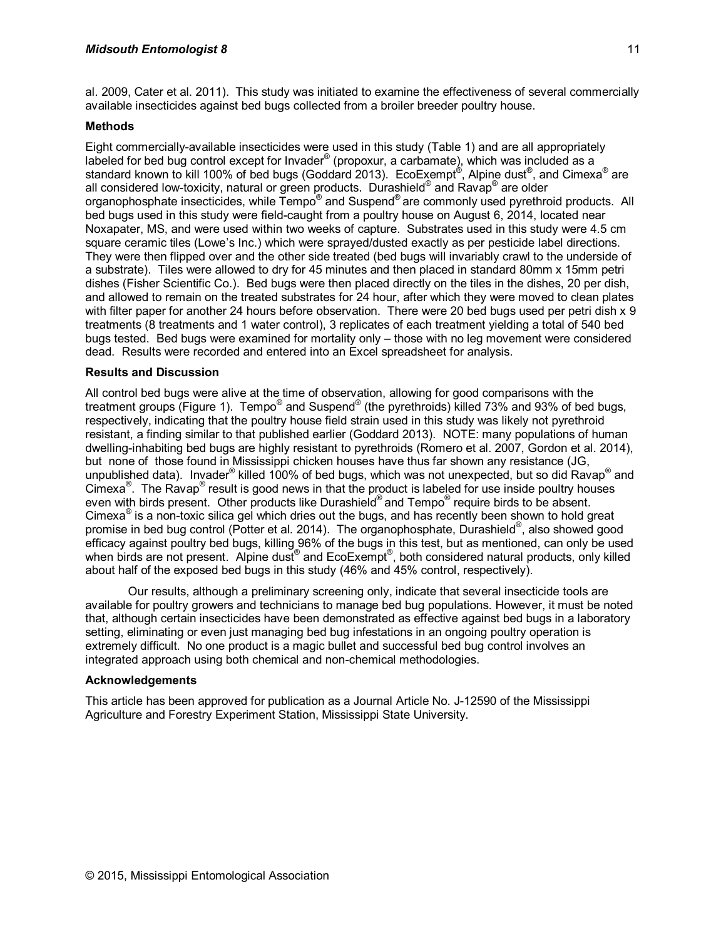al. 2009, Cater et al. 2011). This study was initiated to examine the effectiveness of several commercially available insecticides against bed bugs collected from a broiler breeder poultry house.

#### **Methods**

Eight commercially-available insecticides were used in this study (Table 1) and are all appropriately labeled for bed bug control except for Invader® (propoxur, a carbamate), which was included as a standard known to kill 100% of bed bugs (Goddard 2013). EcoExempt®, Alpine dust®, and Cimexa® are all considered low-toxicity, natural or green products. Durashield® and Ravap® are older organophosphate insecticides, while Tempo® and Suspend® are commonly used pyrethroid products. All bed bugs used in this study were field-caught from a poultry house on August 6, 2014, located near Noxapater, MS, and were used within two weeks of capture. Substrates used in this study were 4.5 cm square ceramic tiles (Lowe's Inc.) which were sprayed/dusted exactly as per pesticide label directions. They were then flipped over and the other side treated (bed bugs will invariably crawl to the underside of a substrate). Tiles were allowed to dry for 45 minutes and then placed in standard 80mm x 15mm petri dishes (Fisher Scientific Co.). Bed bugs were then placed directly on the tiles in the dishes, 20 per dish, and allowed to remain on the treated substrates for 24 hour, after which they were moved to clean plates with filter paper for another 24 hours before observation. There were 20 bed bugs used per petri dish x 9 treatments (8 treatments and 1 water control), 3 replicates of each treatment yielding a total of 540 bed bugs tested. Bed bugs were examined for mortality only – those with no leg movement were considered dead. Results were recorded and entered into an Excel spreadsheet for analysis.

#### **Results and Discussion**

All control bed bugs were alive at the time of observation, allowing for good comparisons with the treatment groups (Figure 1). Tempo® and Suspend® (the pyrethroids) killed 73% and 93% of bed bugs, respectively, indicating that the poultry house field strain used in this study was likely not pyrethroid resistant, a finding similar to that published earlier (Goddard 2013). NOTE: many populations of human dwelling-inhabiting bed bugs are highly resistant to pyrethroids (Romero et al. 2007, Gordon et al. 2014), but none of those found in Mississippi chicken houses have thus far shown any resistance (JG, unpublished data). Invader<sup>®</sup> killed 100% of bed bugs, which was not unexpected, but so did Ravap<sup>®</sup> and Cimexa<sup>®</sup>. The Ravap<sup>®</sup> result is good news in that the product is labeled for use inside poultry houses even with birds present. Other products like Durashield® and Tempo® require birds to be absent. Cimexa $^{\circ}$  is a non-toxic silica gel which dries out the bugs, and has recently been shown to hold great promise in bed bug control (Potter et al. 2014). The organophosphate, Durashield®, also showed good efficacy against poultry bed bugs, killing 96% of the bugs in this test, but as mentioned, can only be used when birds are not present. Alpine dust® and EcoExempt®, both considered natural products, only killed about half of the exposed bed bugs in this study (46% and 45% control, respectively).

Our results, although a preliminary screening only, indicate that several insecticide tools are available for poultry growers and technicians to manage bed bug populations. However, it must be noted that, although certain insecticides have been demonstrated as effective against bed bugs in a laboratory setting, eliminating or even just managing bed bug infestations in an ongoing poultry operation is extremely difficult. No one product is a magic bullet and successful bed bug control involves an integrated approach using both chemical and non-chemical methodologies.

#### **Acknowledgements**

This article has been approved for publication as a Journal Article No. J-12590 of the Mississippi Agriculture and Forestry Experiment Station, Mississippi State University.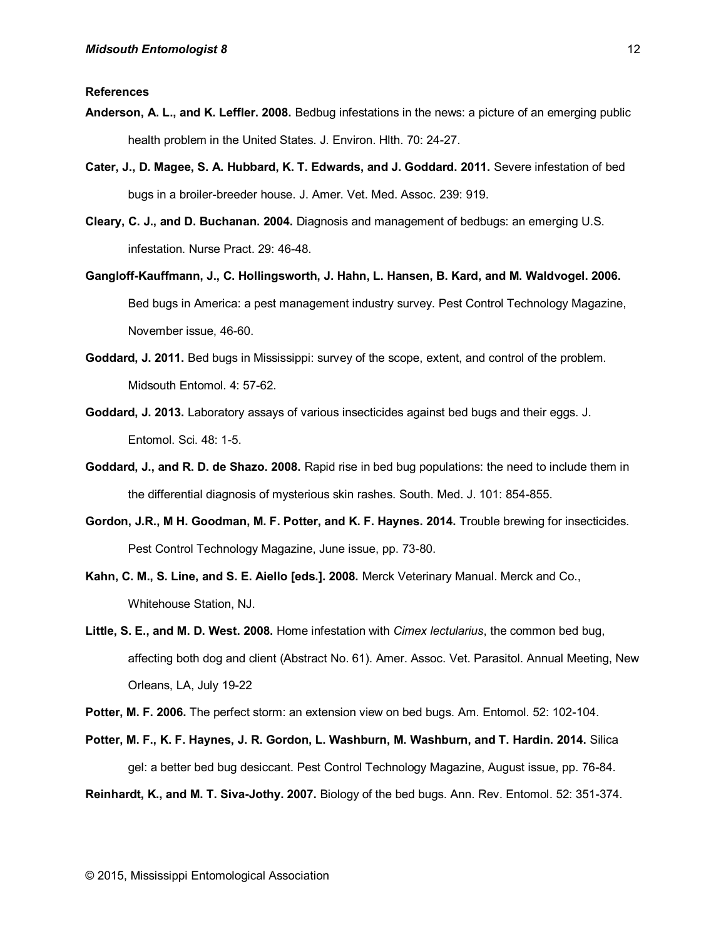- **Anderson, A. L., and K. Leffler. 2008.** Bedbug infestations in the news: a picture of an emerging public health problem in the United States. J. Environ. Hlth. 70: 24-27.
- **Cater, J., D. Magee, S. A. Hubbard, K. T. Edwards, and J. Goddard. 2011.** Severe infestation of bed bugs in a broiler-breeder house. J. Amer. Vet. Med. Assoc. 239: 919.
- **Cleary, C. J., and D. Buchanan. 2004.** Diagnosis and management of bedbugs: an emerging U.S. infestation. Nurse Pract. 29: 46-48.
- **Gangloff-Kauffmann, J., C. Hollingsworth, J. Hahn, L. Hansen, B. Kard, and M. Waldvogel. 2006.** Bed bugs in America: a pest management industry survey. Pest Control Technology Magazine, November issue, 46-60.
- **Goddard, J. 2011.** Bed bugs in Mississippi: survey of the scope, extent, and control of the problem. Midsouth Entomol. 4: 57-62.
- **Goddard, J. 2013.** Laboratory assays of various insecticides against bed bugs and their eggs. J. Entomol. Sci. 48: 1-5.
- **Goddard, J., and R. D. de Shazo. 2008.** Rapid rise in bed bug populations: the need to include them in the differential diagnosis of mysterious skin rashes. South. Med. J. 101: 854-855.
- **Gordon, J.R., M H. Goodman, M. F. Potter, and K. F. Haynes. 2014.** Trouble brewing for insecticides. Pest Control Technology Magazine, June issue, pp. 73-80.
- **Kahn, C. M., S. Line, and S. E. Aiello [eds.]. 2008.** Merck Veterinary Manual. Merck and Co., Whitehouse Station, NJ.
- **Little, S. E., and M. D. West. 2008.** Home infestation with *Cimex lectularius*, the common bed bug, affecting both dog and client (Abstract No. 61). Amer. Assoc. Vet. Parasitol. Annual Meeting, New Orleans, LA, July 19-22
- **Potter, M. F. 2006.** The perfect storm: an extension view on bed bugs. Am. Entomol. 52: 102-104.
- **Potter, M. F., K. F. Haynes, J. R. Gordon, L. Washburn, M. Washburn, and T. Hardin. 2014.** Silica gel: a better bed bug desiccant. Pest Control Technology Magazine, August issue, pp. 76-84.

**Reinhardt, K., and M. T. Siva-Jothy. 2007.** Biology of the bed bugs. Ann. Rev. Entomol. 52: 351-374.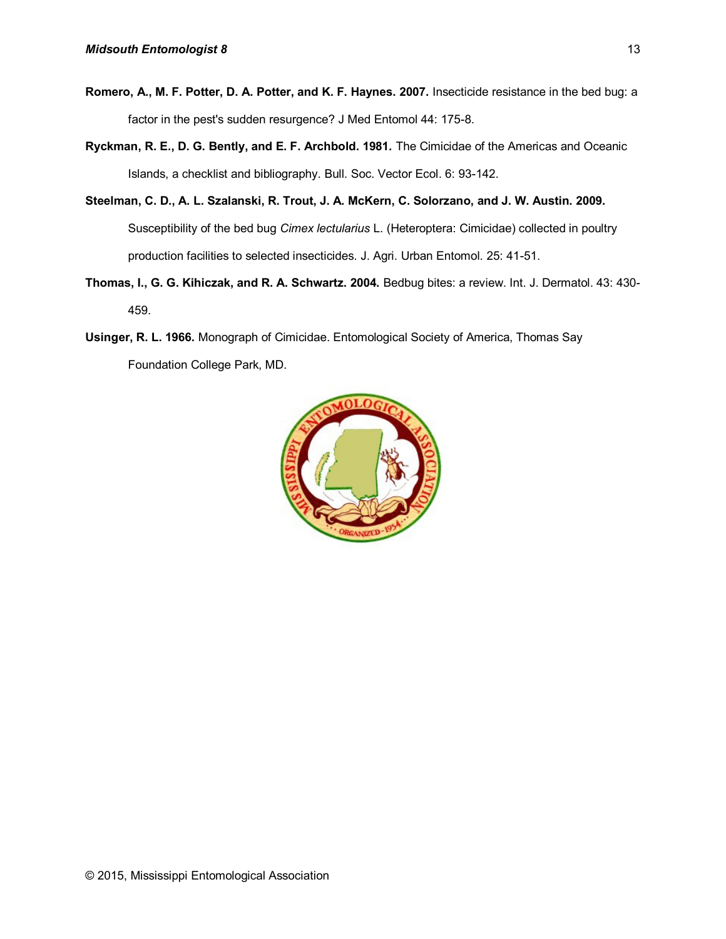- **Romero, A., M. F. Potter, D. A. Potter, and K. F. Haynes. 2007.** Insecticide resistance in the bed bug: a factor in the pest's sudden resurgence? J Med Entomol 44: 175-8.
- **Ryckman, R. E., D. G. Bently, and E. F. Archbold. 1981.** The Cimicidae of the Americas and Oceanic Islands, a checklist and bibliography. Bull. Soc. Vector Ecol. 6: 93-142.
- **Steelman, C. D., A. L. Szalanski, R. Trout, J. A. McKern, C. Solorzano, and J. W. Austin. 2009.** Susceptibility of the bed bug *Cimex lectularius* L. (Heteroptera: Cimicidae) collected in poultry production facilities to selected insecticides. J. Agri. Urban Entomol. 25: 41-51.
- **Thomas, I., G. G. Kihiczak, and R. A. Schwartz. 2004.** Bedbug bites: a review. Int. J. Dermatol. 43: 430- 459.
- **Usinger, R. L. 1966.** Monograph of Cimicidae. Entomological Society of America, Thomas Say Foundation College Park, MD.

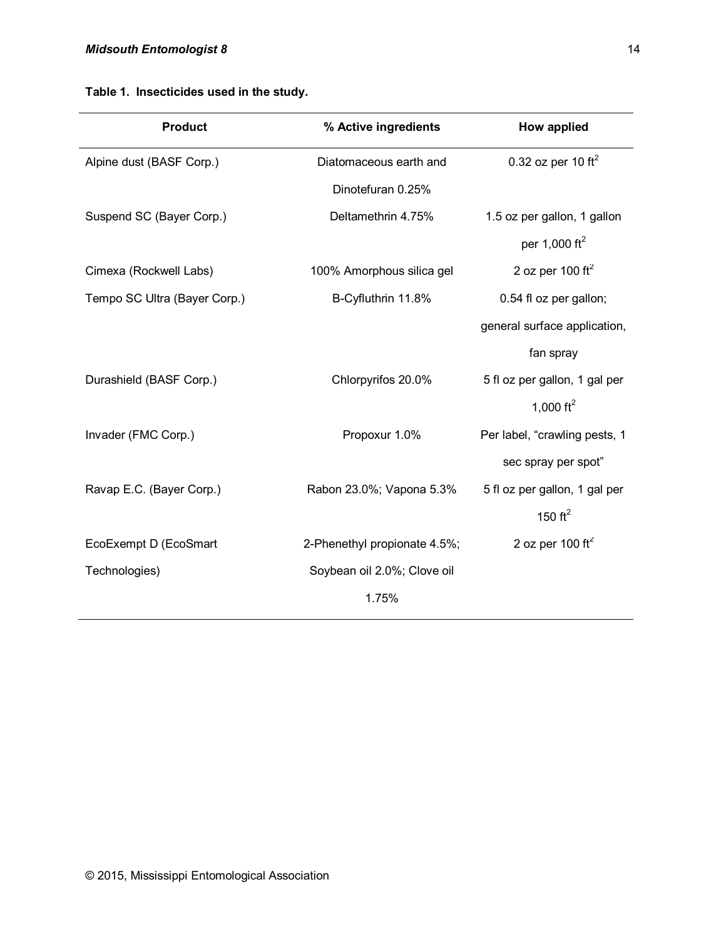|  | Table 1. Insecticides used in the study. |  |  |  |
|--|------------------------------------------|--|--|--|
|--|------------------------------------------|--|--|--|

| <b>Product</b>               | % Active ingredients         | How applied                   |
|------------------------------|------------------------------|-------------------------------|
| Alpine dust (BASF Corp.)     | Diatomaceous earth and       | 0.32 oz per 10 $\text{ft}^2$  |
|                              | Dinotefuran 0.25%            |                               |
| Suspend SC (Bayer Corp.)     | Deltamethrin 4.75%           | 1.5 oz per gallon, 1 gallon   |
|                              |                              | per 1,000 ft <sup>2</sup>     |
| Cimexa (Rockwell Labs)       | 100% Amorphous silica gel    | 2 oz per 100 $\text{ft}^2$    |
| Tempo SC Ultra (Bayer Corp.) | B-Cyfluthrin 11.8%           | 0.54 fl oz per gallon;        |
|                              |                              | general surface application,  |
|                              |                              | fan spray                     |
| Durashield (BASF Corp.)      | Chlorpyrifos 20.0%           | 5 fl oz per gallon, 1 gal per |
|                              |                              | 1,000 $ft^2$                  |
| Invader (FMC Corp.)          | Propoxur 1.0%                | Per label, "crawling pests, 1 |
|                              |                              | sec spray per spot"           |
| Ravap E.C. (Bayer Corp.)     | Rabon 23.0%; Vapona 5.3%     | 5 fl oz per gallon, 1 gal per |
|                              |                              | 150 $ft^2$                    |
| EcoExempt D (EcoSmart        | 2-Phenethyl propionate 4.5%; | 2 oz per 100 ft $^2$          |
| Technologies)                | Soybean oil 2.0%; Clove oil  |                               |
|                              | 1.75%                        |                               |